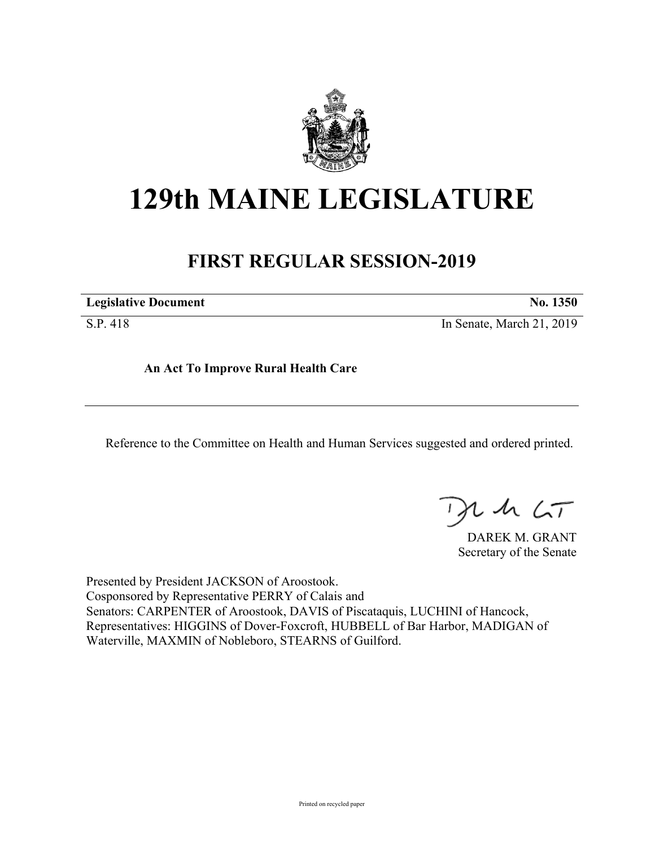

## **129th MAINE LEGISLATURE**

## **FIRST REGULAR SESSION-2019**

**Legislative Document No. 1350**

S.P. 418 In Senate, March 21, 2019

**An Act To Improve Rural Health Care**

Reference to the Committee on Health and Human Services suggested and ordered printed.

 $th$   $LT$ 

DAREK M. GRANT Secretary of the Senate

Presented by President JACKSON of Aroostook. Cosponsored by Representative PERRY of Calais and Senators: CARPENTER of Aroostook, DAVIS of Piscataquis, LUCHINI of Hancock, Representatives: HIGGINS of Dover-Foxcroft, HUBBELL of Bar Harbor, MADIGAN of Waterville, MAXMIN of Nobleboro, STEARNS of Guilford.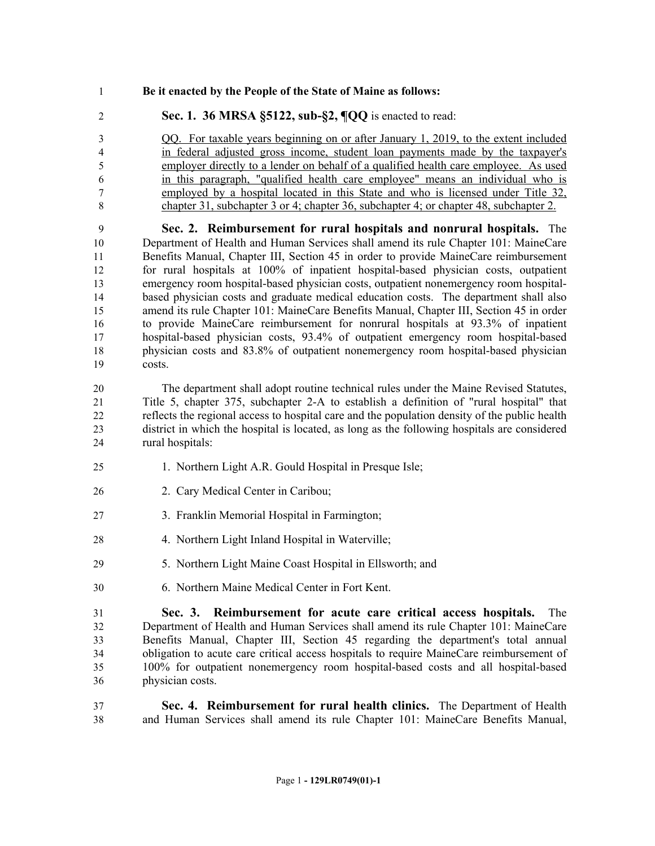- **Be it enacted by the People of the State of Maine as follows:**
- **Sec. 1. 36 MRSA §5122, sub-§2, ¶QQ** is enacted to read:

 QQ. For taxable years beginning on or after January 1, 2019, to the extent included in federal adjusted gross income, student loan payments made by the taxpayer's employer directly to a lender on behalf of a qualified health care employee. As used in this paragraph, "qualified health care employee" means an individual who is employed by a hospital located in this State and who is licensed under Title 32, chapter 31, subchapter 3 or 4; chapter 36, subchapter 4; or chapter 48, subchapter 2.

 **Sec. 2. Reimbursement for rural hospitals and nonrural hospitals.** The 10 Department of Health and Human Services shall amend its rule Chapter 101: MaineCare Benefits Manual, Chapter III, Section 45 in order to provide MaineCare reimbursement for rural hospitals at 100% of inpatient hospital-based physician costs, outpatient emergency room hospital-based physician costs, outpatient nonemergency room hospital- based physician costs and graduate medical education costs. The department shall also amend its rule Chapter 101: MaineCare Benefits Manual, Chapter III, Section 45 in order to provide MaineCare reimbursement for nonrural hospitals at 93.3% of inpatient hospital-based physician costs, 93.4% of outpatient emergency room hospital-based physician costs and 83.8% of outpatient nonemergency room hospital-based physician costs.

 The department shall adopt routine technical rules under the Maine Revised Statutes, Title 5, chapter 375, subchapter 2-A to establish a definition of "rural hospital" that reflects the regional access to hospital care and the population density of the public health district in which the hospital is located, as long as the following hospitals are considered rural hospitals:

- 1. Northern Light A.R. Gould Hospital in Presque Isle;
- 2. Cary Medical Center in Caribou;
- 3. Franklin Memorial Hospital in Farmington;
- 28 4. Northern Light Inland Hospital in Waterville;
- 5. Northern Light Maine Coast Hospital in Ellsworth; and
- 6. Northern Maine Medical Center in Fort Kent.

 **Sec. 3. Reimbursement for acute care critical access hospitals.** The Department of Health and Human Services shall amend its rule Chapter 101: MaineCare Benefits Manual, Chapter III, Section 45 regarding the department's total annual obligation to acute care critical access hospitals to require MaineCare reimbursement of 100% for outpatient nonemergency room hospital-based costs and all hospital-based physician costs.

 **Sec. 4. Reimbursement for rural health clinics.** The Department of Health and Human Services shall amend its rule Chapter 101: MaineCare Benefits Manual,